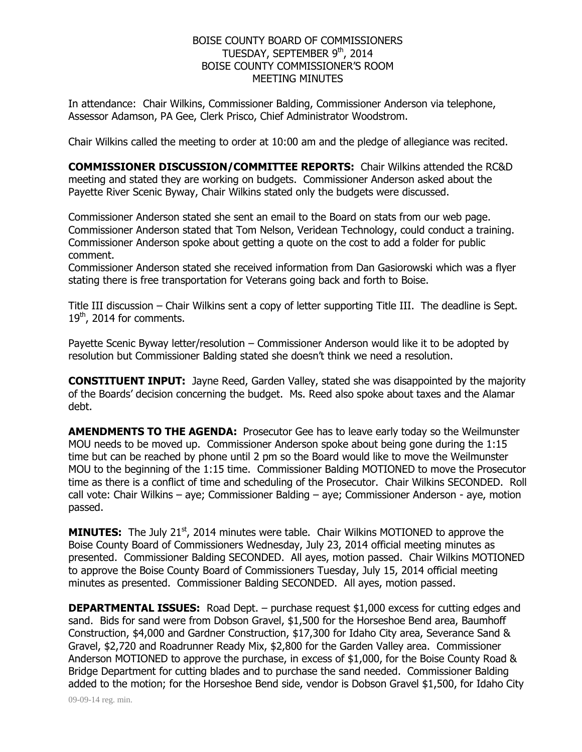## BOISE COUNTY BOARD OF COMMISSIONERS TUESDAY, SEPTEMBER 9<sup>th</sup>, 2014 BOISE COUNTY COMMISSIONER'S ROOM MEETING MINUTES

In attendance: Chair Wilkins, Commissioner Balding, Commissioner Anderson via telephone, Assessor Adamson, PA Gee, Clerk Prisco, Chief Administrator Woodstrom.

Chair Wilkins called the meeting to order at 10:00 am and the pledge of allegiance was recited.

**COMMISSIONER DISCUSSION/COMMITTEE REPORTS:** Chair Wilkins attended the RC&D meeting and stated they are working on budgets. Commissioner Anderson asked about the Payette River Scenic Byway, Chair Wilkins stated only the budgets were discussed.

Commissioner Anderson stated she sent an email to the Board on stats from our web page. Commissioner Anderson stated that Tom Nelson, Veridean Technology, could conduct a training. Commissioner Anderson spoke about getting a quote on the cost to add a folder for public comment.

Commissioner Anderson stated she received information from Dan Gasiorowski which was a flyer stating there is free transportation for Veterans going back and forth to Boise.

Title III discussion – Chair Wilkins sent a copy of letter supporting Title III. The deadline is Sept. 19<sup>th</sup>, 2014 for comments.

Payette Scenic Byway letter/resolution – Commissioner Anderson would like it to be adopted by resolution but Commissioner Balding stated she doesn't think we need a resolution.

**CONSTITUENT INPUT:** Jayne Reed, Garden Valley, stated she was disappointed by the majority of the Boards' decision concerning the budget. Ms. Reed also spoke about taxes and the Alamar debt.

**AMENDMENTS TO THE AGENDA:** Prosecutor Gee has to leave early today so the Weilmunster MOU needs to be moved up. Commissioner Anderson spoke about being gone during the 1:15 time but can be reached by phone until 2 pm so the Board would like to move the Weilmunster MOU to the beginning of the 1:15 time. Commissioner Balding MOTIONED to move the Prosecutor time as there is a conflict of time and scheduling of the Prosecutor. Chair Wilkins SECONDED. Roll call vote: Chair Wilkins – aye; Commissioner Balding – aye; Commissioner Anderson - aye, motion passed.

**MINUTES:** The July 21<sup>st</sup>, 2014 minutes were table. Chair Wilkins MOTIONED to approve the Boise County Board of Commissioners Wednesday, July 23, 2014 official meeting minutes as presented. Commissioner Balding SECONDED. All ayes, motion passed. Chair Wilkins MOTIONED to approve the Boise County Board of Commissioners Tuesday, July 15, 2014 official meeting minutes as presented. Commissioner Balding SECONDED. All ayes, motion passed.

**DEPARTMENTAL ISSUES:** Road Dept. – purchase request \$1,000 excess for cutting edges and sand. Bids for sand were from Dobson Gravel, \$1,500 for the Horseshoe Bend area, Baumhoff Construction, \$4,000 and Gardner Construction, \$17,300 for Idaho City area, Severance Sand & Gravel, \$2,720 and Roadrunner Ready Mix, \$2,800 for the Garden Valley area. Commissioner Anderson MOTIONED to approve the purchase, in excess of \$1,000, for the Boise County Road & Bridge Department for cutting blades and to purchase the sand needed. Commissioner Balding added to the motion; for the Horseshoe Bend side, vendor is Dobson Gravel \$1,500, for Idaho City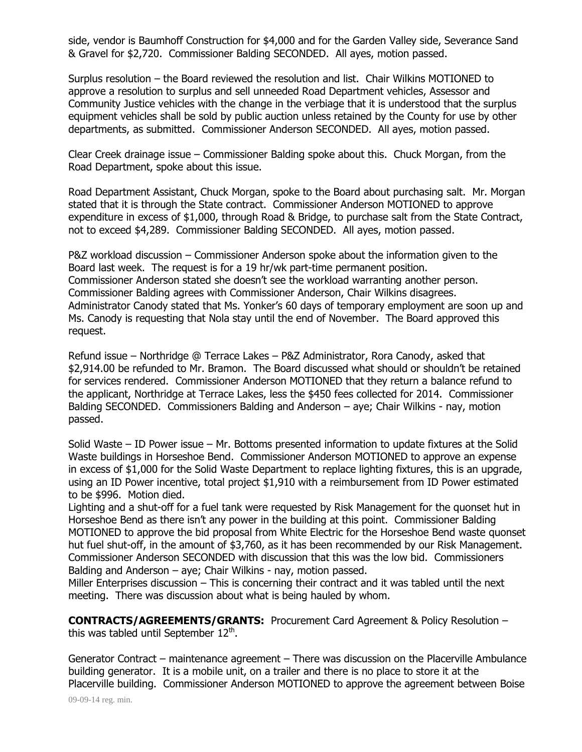side, vendor is Baumhoff Construction for \$4,000 and for the Garden Valley side, Severance Sand & Gravel for \$2,720. Commissioner Balding SECONDED. All ayes, motion passed.

Surplus resolution – the Board reviewed the resolution and list. Chair Wilkins MOTIONED to approve a resolution to surplus and sell unneeded Road Department vehicles, Assessor and Community Justice vehicles with the change in the verbiage that it is understood that the surplus equipment vehicles shall be sold by public auction unless retained by the County for use by other departments, as submitted. Commissioner Anderson SECONDED. All ayes, motion passed.

Clear Creek drainage issue – Commissioner Balding spoke about this. Chuck Morgan, from the Road Department, spoke about this issue.

Road Department Assistant, Chuck Morgan, spoke to the Board about purchasing salt. Mr. Morgan stated that it is through the State contract. Commissioner Anderson MOTIONED to approve expenditure in excess of \$1,000, through Road & Bridge, to purchase salt from the State Contract, not to exceed \$4,289. Commissioner Balding SECONDED. All ayes, motion passed.

P&Z workload discussion – Commissioner Anderson spoke about the information given to the Board last week. The request is for a 19 hr/wk part-time permanent position. Commissioner Anderson stated she doesn't see the workload warranting another person. Commissioner Balding agrees with Commissioner Anderson, Chair Wilkins disagrees. Administrator Canody stated that Ms. Yonker's 60 days of temporary employment are soon up and Ms. Canody is requesting that Nola stay until the end of November. The Board approved this request.

Refund issue – Northridge @ Terrace Lakes – P&Z Administrator, Rora Canody, asked that \$2,914.00 be refunded to Mr. Bramon. The Board discussed what should or shouldn't be retained for services rendered. Commissioner Anderson MOTIONED that they return a balance refund to the applicant, Northridge at Terrace Lakes, less the \$450 fees collected for 2014. Commissioner Balding SECONDED. Commissioners Balding and Anderson – aye; Chair Wilkins - nay, motion passed.

Solid Waste – ID Power issue – Mr. Bottoms presented information to update fixtures at the Solid Waste buildings in Horseshoe Bend. Commissioner Anderson MOTIONED to approve an expense in excess of \$1,000 for the Solid Waste Department to replace lighting fixtures, this is an upgrade, using an ID Power incentive, total project \$1,910 with a reimbursement from ID Power estimated to be \$996. Motion died.

Lighting and a shut-off for a fuel tank were requested by Risk Management for the quonset hut in Horseshoe Bend as there isn't any power in the building at this point. Commissioner Balding MOTIONED to approve the bid proposal from White Electric for the Horseshoe Bend waste quonset hut fuel shut-off, in the amount of \$3,760, as it has been recommended by our Risk Management. Commissioner Anderson SECONDED with discussion that this was the low bid. Commissioners Balding and Anderson – aye; Chair Wilkins - nay, motion passed.

Miller Enterprises discussion – This is concerning their contract and it was tabled until the next meeting. There was discussion about what is being hauled by whom.

**CONTRACTS/AGREEMENTS/GRANTS:** Procurement Card Agreement & Policy Resolution – this was tabled until September  $12<sup>th</sup>$ .

Generator Contract – maintenance agreement – There was discussion on the Placerville Ambulance building generator. It is a mobile unit, on a trailer and there is no place to store it at the Placerville building. Commissioner Anderson MOTIONED to approve the agreement between Boise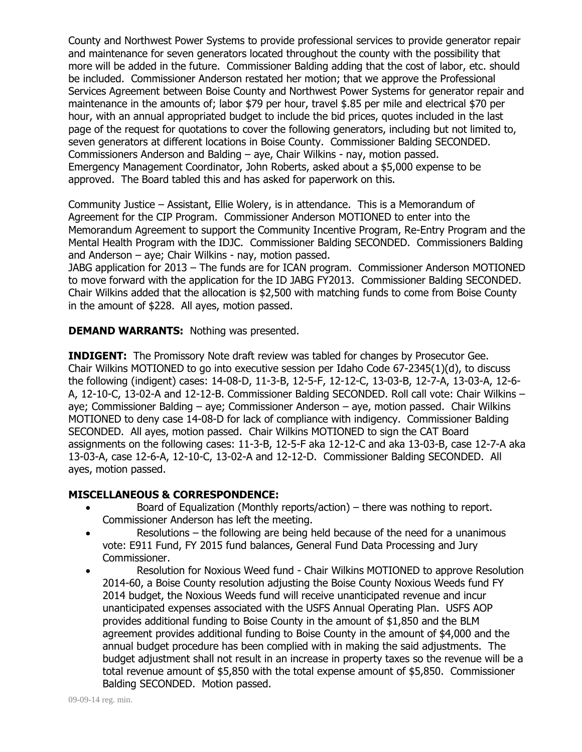County and Northwest Power Systems to provide professional services to provide generator repair and maintenance for seven generators located throughout the county with the possibility that more will be added in the future. Commissioner Balding adding that the cost of labor, etc. should be included. Commissioner Anderson restated her motion; that we approve the Professional Services Agreement between Boise County and Northwest Power Systems for generator repair and maintenance in the amounts of; labor \$79 per hour, travel \$.85 per mile and electrical \$70 per hour, with an annual appropriated budget to include the bid prices, quotes included in the last page of the request for quotations to cover the following generators, including but not limited to, seven generators at different locations in Boise County. Commissioner Balding SECONDED. Commissioners Anderson and Balding – aye, Chair Wilkins - nay, motion passed. Emergency Management Coordinator, John Roberts, asked about a \$5,000 expense to be approved. The Board tabled this and has asked for paperwork on this.

Community Justice – Assistant, Ellie Wolery, is in attendance. This is a Memorandum of Agreement for the CIP Program. Commissioner Anderson MOTIONED to enter into the Memorandum Agreement to support the Community Incentive Program, Re-Entry Program and the Mental Health Program with the IDJC. Commissioner Balding SECONDED. Commissioners Balding and Anderson – aye; Chair Wilkins - nay, motion passed.

JABG application for 2013 – The funds are for ICAN program. Commissioner Anderson MOTIONED to move forward with the application for the ID JABG FY2013. Commissioner Balding SECONDED. Chair Wilkins added that the allocation is \$2,500 with matching funds to come from Boise County in the amount of \$228. All ayes, motion passed.

**DEMAND WARRANTS:** Nothing was presented.

**INDIGENT:** The Promissory Note draft review was tabled for changes by Prosecutor Gee. Chair Wilkins MOTIONED to go into executive session per Idaho Code 67-2345(1)(d), to discuss the following (indigent) cases: 14-08-D, 11-3-B, 12-5-F, 12-12-C, 13-03-B, 12-7-A, 13-03-A, 12-6- A, 12-10-C, 13-02-A and 12-12-B. Commissioner Balding SECONDED. Roll call vote: Chair Wilkins – aye; Commissioner Balding – aye; Commissioner Anderson – aye, motion passed. Chair Wilkins MOTIONED to deny case 14-08-D for lack of compliance with indigency. Commissioner Balding SECONDED. All ayes, motion passed. Chair Wilkins MOTIONED to sign the CAT Board assignments on the following cases: 11-3-B, 12-5-F aka 12-12-C and aka 13-03-B, case 12-7-A aka 13-03-A, case 12-6-A, 12-10-C, 13-02-A and 12-12-D. Commissioner Balding SECONDED. All ayes, motion passed.

## **MISCELLANEOUS & CORRESPONDENCE:**

- Board of Equalization (Monthly reports/action) there was nothing to report. Commissioner Anderson has left the meeting.
- Resolutions the following are being held because of the need for a unanimous vote: E911 Fund, FY 2015 fund balances, General Fund Data Processing and Jury Commissioner.
- Resolution for Noxious Weed fund Chair Wilkins MOTIONED to approve Resolution 2014-60, a Boise County resolution adjusting the Boise County Noxious Weeds fund FY 2014 budget, the Noxious Weeds fund will receive unanticipated revenue and incur unanticipated expenses associated with the USFS Annual Operating Plan. USFS AOP provides additional funding to Boise County in the amount of \$1,850 and the BLM agreement provides additional funding to Boise County in the amount of \$4,000 and the annual budget procedure has been complied with in making the said adjustments. The budget adjustment shall not result in an increase in property taxes so the revenue will be a total revenue amount of \$5,850 with the total expense amount of \$5,850. Commissioner Balding SECONDED. Motion passed.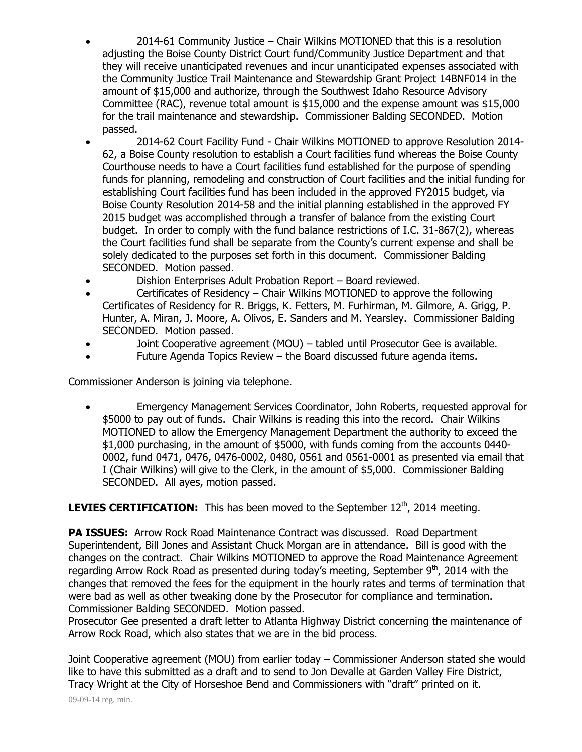2014-61 Community Justice – Chair Wilkins MOTIONED that this is a resolution adjusting the Boise County District Court fund/Community Justice Department and that they will receive unanticipated revenues and incur unanticipated expenses associated with the Community Justice Trail Maintenance and Stewardship Grant Project 14BNF014 in the amount of \$15,000 and authorize, through the Southwest Idaho Resource Advisory Committee (RAC), revenue total amount is \$15,000 and the expense amount was \$15,000 for the trail maintenance and stewardship. Commissioner Balding SECONDED. Motion passed.

- 2014-62 Court Facility Fund Chair Wilkins MOTIONED to approve Resolution 2014- 62, a Boise County resolution to establish a Court facilities fund whereas the Boise County Courthouse needs to have a Court facilities fund established for the purpose of spending funds for planning, remodeling and construction of Court facilities and the initial funding for establishing Court facilities fund has been included in the approved FY2015 budget, via Boise County Resolution 2014-58 and the initial planning established in the approved FY 2015 budget was accomplished through a transfer of balance from the existing Court budget. In order to comply with the fund balance restrictions of I.C. 31-867(2), whereas the Court facilities fund shall be separate from the County's current expense and shall be solely dedicated to the purposes set forth in this document. Commissioner Balding SECONDED. Motion passed.
- Dishion Enterprises Adult Probation Report Board reviewed.
- Certificates of Residency Chair Wilkins MOTIONED to approve the following Certificates of Residency for R. Briggs, K. Fetters, M. Furhirman, M. Gilmore, A. Grigg, P. Hunter, A. Miran, J. Moore, A. Olivos, E. Sanders and M. Yearsley. Commissioner Balding SECONDED. Motion passed.
- Joint Cooperative agreement (MOU) tabled until Prosecutor Gee is available.
- Future Agenda Topics Review the Board discussed future agenda items.

Commissioner Anderson is joining via telephone.

 Emergency Management Services Coordinator, John Roberts, requested approval for \$5000 to pay out of funds. Chair Wilkins is reading this into the record. Chair Wilkins MOTIONED to allow the Emergency Management Department the authority to exceed the \$1,000 purchasing, in the amount of \$5000, with funds coming from the accounts 0440- 0002, fund 0471, 0476, 0476-0002, 0480, 0561 and 0561-0001 as presented via email that I (Chair Wilkins) will give to the Clerk, in the amount of \$5,000. Commissioner Balding SECONDED. All ayes, motion passed.

**LEVIES CERTIFICATION:** This has been moved to the September 12<sup>th</sup>, 2014 meeting.

**PA ISSUES:** Arrow Rock Road Maintenance Contract was discussed. Road Department Superintendent, Bill Jones and Assistant Chuck Morgan are in attendance. Bill is good with the changes on the contract. Chair Wilkins MOTIONED to approve the Road Maintenance Agreement regarding Arrow Rock Road as presented during today's meeting, September 9<sup>th</sup>, 2014 with the changes that removed the fees for the equipment in the hourly rates and terms of termination that were bad as well as other tweaking done by the Prosecutor for compliance and termination. Commissioner Balding SECONDED. Motion passed.

Prosecutor Gee presented a draft letter to Atlanta Highway District concerning the maintenance of Arrow Rock Road, which also states that we are in the bid process.

Joint Cooperative agreement (MOU) from earlier today – Commissioner Anderson stated she would like to have this submitted as a draft and to send to Jon Devalle at Garden Valley Fire District, Tracy Wright at the City of Horseshoe Bend and Commissioners with "draft" printed on it.